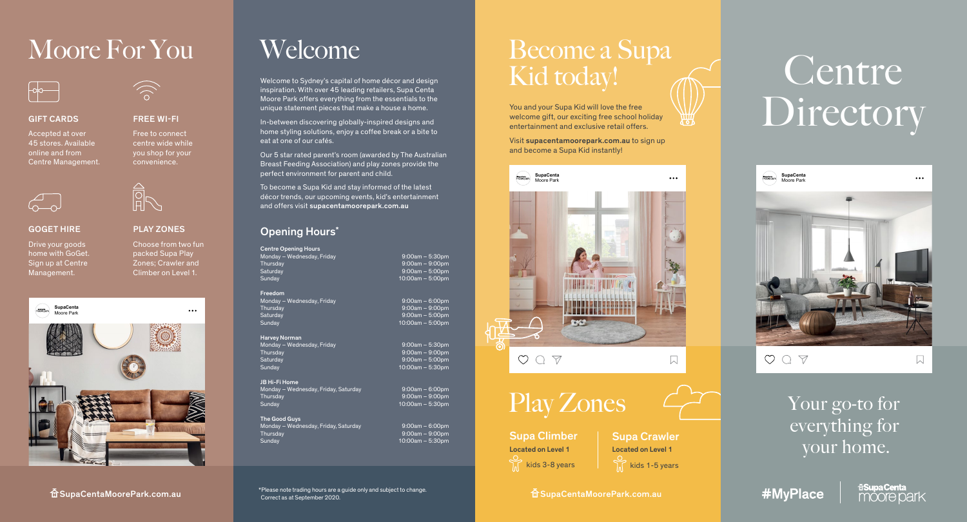# Moore For You

FREE WI-FI Free to connect centre wide while you shop for your convenience.

PLAY ZONES

**A**<br>A

Choose from two fun packed Supa Play Zones; Crawler and Climber on Level 1.

 $\ddotsc$ 



#### **GIFT CARDS**

Accepted at over 45 stores. Available online and from Centre Management.



### GOGET HIRE

Drive your goods home with GoGet. Sign up at Centre Management.





## Welcome

Welcome to Sydney's capital of home décor and design inspiration. With over 45 leading retailers, Supa Centa Moore Park offers everything from the essentials to the unique statement pieces that make a house a home.

In-between discovering globally-inspired designs and home styling solutions, enjoy a coffee break or a bite to eat at one of our cafés.

Our 5 star rated parent's room (awarded by The Australian Breast Feeding Association) and play zones provide the perfect environment for parent and child.

To become a Supa Kid and stay informed of the latest décor trends, our upcoming events, kid's entertainment and offers visit supacentamoorepark.com.au

## Opening Hours\*

Centre Opening Hours Monday – Wednesday, Friday 9:00am – 5:30pm Thursday 9:00am – 9:00pm Saturday 9:00am – 5:00pm

Freedom Monday – Wednesday, Friday 9:00am – 6:00pm Thursday 9:00am – 9:00pm<br>Saturday 9:00am – 9:00pm<br>9:00am – 5:00pm Saturday 9:00am – 5:00pm

Harvey Norman Monday – Wednesday, Friday 9:00am – 5:30pm Thursday 9:00am – 9:00pm Sunday 10:00am – 5:30pm

JB Hi-Fi Home Monday – Wednesday, Friday, Saturday 9:00am – 6:00pm Sunday 10:00am – 5:30pm

The Good Guys Monday – Wednesday, Friday, Saturday 9:00am – 6:00pm Thursday 9:00am – 9:00pm

 $10:00$ am – 5:30pm

## Become a Supa Kid today!

You and your Supa Kid will love the free welcome gift, our exciting free school holiday entertainment and exclusive retail offers.

**\\\\!!**<br>\`o7

Visit supacentamoorepark.com.au to sign up and become a Supa Kid instantly!



# Centre Directory



 $\circ \circ \circ \circ$ 

 $\sqrt{ }$ 

Your go-to for everything for your home.

\*Please note trading hours are a guide only and subject to change. Correct as at September 2020.  $\widehat{\mathbf{a}}$  SupaCentaMoorePark.com.au  $\widehat{\mathbf{a}}$   $\widehat{\mathbf{a}}$   $\widehat{\mathbf{a}}$   $\widehat{\mathbf{a}}$  superinterating hours are a space internal  $\widehat{\mathbf{a}}$  or  $\widehat{\mathbf{a}}$  .

 $9:00$ am –  $9:00$ pm

 $10:00$ am – 5:00pm

 $10:00$ am – 5:00pm

 $9:00$ am – 5:00pm

Supa Climber  $\sum$  kids 3-8 years Located on Level 1 Located on Level 1

Supa Crawler  $\sum_{n=1}^{\infty}$  kids 1-5 years

#MvPlace